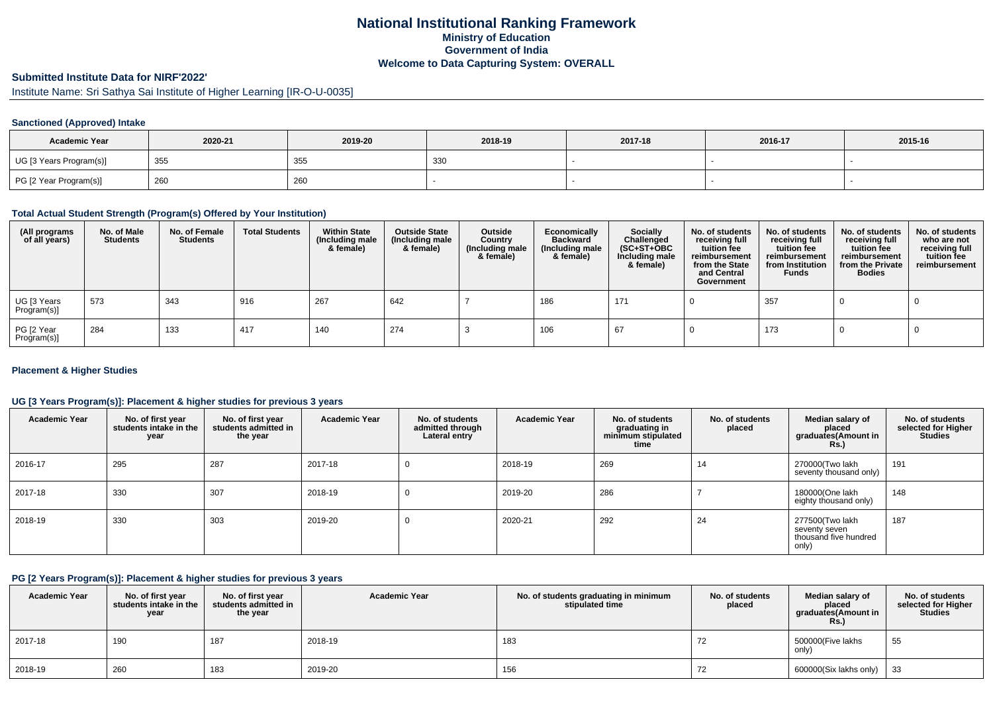# **National Institutional Ranking FrameworkMinistry of Education Government of IndiaWelcome to Data Capturing System: OVERALL**

# **Submitted Institute Data for NIRF'2022'**

Institute Name: Sri Sathya Sai Institute of Higher Learning [IR-O-U-0035]

### **Sanctioned (Approved) Intake**

| <b>Academic Year</b>    | 2020-21 | 2019-20 | 2018-19    | 2017-18 | 2016-17 | 2015-16 |
|-------------------------|---------|---------|------------|---------|---------|---------|
| UG [3 Years Program(s)] | 355     | 355     | ววเ<br>ູບບ |         |         |         |
| PG [2 Year Program(s)]  | 260     | 260     |            |         |         |         |

### **Total Actual Student Strength (Program(s) Offered by Your Institution)**

| (All programs<br>of all years) | No. of Male<br><b>Students</b> | No. of Female<br><b>Students</b> | <b>Total Students</b> | <b>Within State</b><br>(Including male<br>& female) | <b>Outside State</b><br>(Including male<br>& female) | Outside<br>Country<br>(Including male<br>& female) | Economically<br><b>Backward</b><br>(Including male<br>& female) | Socially<br>Challenged<br>$(SC+ST+OBC)$<br>Including male<br>& female) | No. of students<br>receiving full<br>tuition fee<br>reimbursement<br>from the State<br>and Central<br>Government | No. of students<br>receiving full<br>tuition fee<br>reimbursement<br>from Institution<br><b>Funds</b> | No. of students<br>receiving full<br>tuition fee<br>reimbursement<br>from the Private<br><b>Bodies</b> | No. of students<br>who are not<br>receiving full<br>tuition fee<br>reimbursement |
|--------------------------------|--------------------------------|----------------------------------|-----------------------|-----------------------------------------------------|------------------------------------------------------|----------------------------------------------------|-----------------------------------------------------------------|------------------------------------------------------------------------|------------------------------------------------------------------------------------------------------------------|-------------------------------------------------------------------------------------------------------|--------------------------------------------------------------------------------------------------------|----------------------------------------------------------------------------------|
| UG [3 Years<br>Program(s)]     | 573                            | 343                              | 916                   | 267                                                 | 642                                                  |                                                    | 186                                                             | 171                                                                    |                                                                                                                  | 357                                                                                                   |                                                                                                        |                                                                                  |
| PG [2 Year<br>Program(s)]      | 284                            | 133                              | 417                   | 140                                                 | 274                                                  |                                                    | 106                                                             | 67                                                                     |                                                                                                                  | 173                                                                                                   |                                                                                                        |                                                                                  |

### **Placement & Higher Studies**

### **UG [3 Years Program(s)]: Placement & higher studies for previous 3 years**

| <b>Academic Year</b> | No. of first year<br>students intake in the<br>year | No. of first year<br>students admitted in<br>the year | <b>Academic Year</b> | No. of students<br>admitted through<br>Lateral entry | <b>Academic Year</b> | No. of students<br>graduating in<br>minimum stipulated<br>time | No. of students<br>placed | Median salary of<br>placed<br>graduates(Amount in<br><b>Rs.)</b>   | No. of students<br>selected for Higher<br><b>Studies</b> |
|----------------------|-----------------------------------------------------|-------------------------------------------------------|----------------------|------------------------------------------------------|----------------------|----------------------------------------------------------------|---------------------------|--------------------------------------------------------------------|----------------------------------------------------------|
| 2016-17              | 295                                                 | 287                                                   | 2017-18              | v                                                    | 2018-19              | 269                                                            | 14                        | 270000(Two lakh<br>seventy thousand only)                          | 191                                                      |
| 2017-18              | 330                                                 | 307                                                   | 2018-19              | U                                                    | 2019-20              | 286                                                            |                           | 180000(One lakh<br>eighty thousand only)                           | 148                                                      |
| 2018-19              | 330                                                 | 303                                                   | 2019-20              | U                                                    | 2020-21              | 292                                                            | 24                        | 277500(Two lakh<br>seventy seven<br>thousand five hundred<br>only) | 187                                                      |

#### **PG [2 Years Program(s)]: Placement & higher studies for previous 3 years**

| <b>Academic Year</b> | No. of first year<br>students intake in the<br>year | No. of first year<br>students admitted in<br>the year | <b>Academic Year</b> | No. of students graduating in minimum<br>stipulated time | No. of students<br>placed | Median salary of<br>placed<br>araduates (Amount in<br><b>Rs.)</b> | No. of students<br>selected for Higher<br><b>Studies</b> |
|----------------------|-----------------------------------------------------|-------------------------------------------------------|----------------------|----------------------------------------------------------|---------------------------|-------------------------------------------------------------------|----------------------------------------------------------|
| 2017-18              | 190                                                 | 187                                                   | 2018-19              | 183                                                      | 72                        | 500000(Five lakhs<br>only)                                        | 55                                                       |
| 2018-19              | 260                                                 | 183                                                   | 2019-20              | 156                                                      | 72                        | $600000(Six lakhs only)$ 33                                       |                                                          |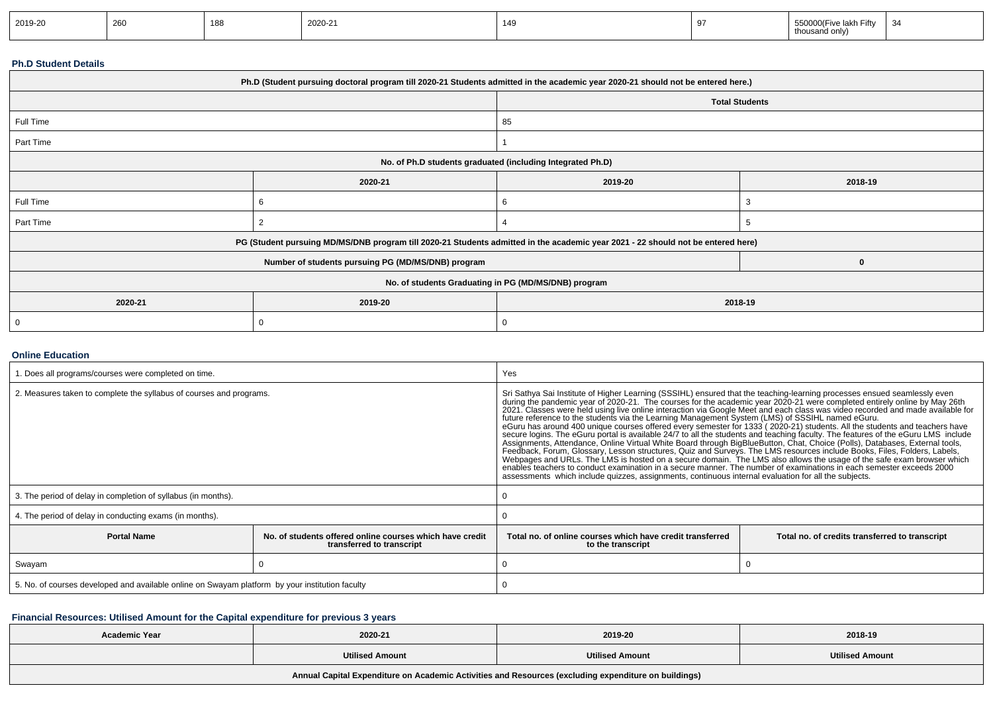| 2019-20 | 260 | 188<br>__ | 000<br>2020-21 | 149 | . | ≏ባ00(Five lakn_<br>n Fifty<br>visand only, | . . |
|---------|-----|-----------|----------------|-----|---|--------------------------------------------|-----|
|---------|-----|-----------|----------------|-----|---|--------------------------------------------|-----|

### **Ph.D Student Details**

| Ph.D (Student pursuing doctoral program till 2020-21 Students admitted in the academic year 2020-21 should not be entered here.) |                                                                                                                                  |                                                      |                       |  |  |  |
|----------------------------------------------------------------------------------------------------------------------------------|----------------------------------------------------------------------------------------------------------------------------------|------------------------------------------------------|-----------------------|--|--|--|
|                                                                                                                                  |                                                                                                                                  |                                                      | <b>Total Students</b> |  |  |  |
| Full Time                                                                                                                        |                                                                                                                                  | 85                                                   |                       |  |  |  |
| Part Time                                                                                                                        |                                                                                                                                  |                                                      |                       |  |  |  |
|                                                                                                                                  | No. of Ph.D students graduated (including Integrated Ph.D)                                                                       |                                                      |                       |  |  |  |
|                                                                                                                                  | 2020-21                                                                                                                          | 2019-20                                              | 2018-19               |  |  |  |
| Full Time                                                                                                                        |                                                                                                                                  | 6                                                    |                       |  |  |  |
| Part Time                                                                                                                        |                                                                                                                                  |                                                      |                       |  |  |  |
|                                                                                                                                  | PG (Student pursuing MD/MS/DNB program till 2020-21 Students admitted in the academic year 2021 - 22 should not be entered here) |                                                      |                       |  |  |  |
|                                                                                                                                  | Number of students pursuing PG (MD/MS/DNB) program                                                                               |                                                      | $\mathbf{0}$          |  |  |  |
|                                                                                                                                  |                                                                                                                                  | No. of students Graduating in PG (MD/MS/DNB) program |                       |  |  |  |
| 2020-21                                                                                                                          | 2019-20<br>2018-19                                                                                                               |                                                      |                       |  |  |  |
|                                                                                                                                  | 0                                                                                                                                | 0                                                    |                       |  |  |  |

### **Online Education**

| . Does all programs/courses were completed on time.                                                         |  | Yes                                                                                                                                                                                                                                                                                                                                                                                                                                                                                                                                                                                                                                                                                                                                                                                                                                                                                                                                                                                                                                                                                                                                                                                                                                                                                                                                                                                |                                                |  |  |  |
|-------------------------------------------------------------------------------------------------------------|--|------------------------------------------------------------------------------------------------------------------------------------------------------------------------------------------------------------------------------------------------------------------------------------------------------------------------------------------------------------------------------------------------------------------------------------------------------------------------------------------------------------------------------------------------------------------------------------------------------------------------------------------------------------------------------------------------------------------------------------------------------------------------------------------------------------------------------------------------------------------------------------------------------------------------------------------------------------------------------------------------------------------------------------------------------------------------------------------------------------------------------------------------------------------------------------------------------------------------------------------------------------------------------------------------------------------------------------------------------------------------------------|------------------------------------------------|--|--|--|
| 2. Measures taken to complete the syllabus of courses and programs.                                         |  | Sri Sathya Sai Institute of Higher Learning (SSSIHL) ensured that the teaching-learning processes ensued seamlessly even<br>during the pandemic year of 2020-21. The courses for the academic year 2020-21 were completed entirely online by May 26th<br>2021. Classes were held using live online interaction via Google Meet and each class was video recorded and made available for<br>future reference to the students via the Learning Management System (LMS) of SSSIHL named eGuru.<br>eGuru has around 400 unique courses offered every semester for 1333 (2020-21) students. All the students and teachers have<br>secure logins. The eGuru portal is available 24/7 to all the students and teaching faculty. The features of the eGuru LMS include<br>Assignments, Attendance, Online Virtual White Board through BigBlueButton, Chat, Choice (Polls), Databases, External tools,<br>Feedback, Forum, Glossary, Lesson structures, Quiz and Surveys. The LMS resources include Books, Files, Folders, Labels,<br>Webpages and URLs. The LMS is hosted on a secure domain. The LMS also allows the usage of the safe exam browser which<br>enables teachers to conduct examination in a secure manner. The number of examinations in each semester exceeds 2000<br>assessments which include quizzes, assignments, continuous internal evaluation for all the subjects. |                                                |  |  |  |
| 3. The period of delay in completion of syllabus (in months).                                               |  |                                                                                                                                                                                                                                                                                                                                                                                                                                                                                                                                                                                                                                                                                                                                                                                                                                                                                                                                                                                                                                                                                                                                                                                                                                                                                                                                                                                    |                                                |  |  |  |
| 4. The period of delay in conducting exams (in months).                                                     |  |                                                                                                                                                                                                                                                                                                                                                                                                                                                                                                                                                                                                                                                                                                                                                                                                                                                                                                                                                                                                                                                                                                                                                                                                                                                                                                                                                                                    |                                                |  |  |  |
| <b>Portal Name</b><br>No. of students offered online courses which have credit<br>transferred to transcript |  | Total no, of online courses which have credit transferred<br>to the transcript                                                                                                                                                                                                                                                                                                                                                                                                                                                                                                                                                                                                                                                                                                                                                                                                                                                                                                                                                                                                                                                                                                                                                                                                                                                                                                     | Total no. of credits transferred to transcript |  |  |  |
| Swayam                                                                                                      |  |                                                                                                                                                                                                                                                                                                                                                                                                                                                                                                                                                                                                                                                                                                                                                                                                                                                                                                                                                                                                                                                                                                                                                                                                                                                                                                                                                                                    |                                                |  |  |  |
| 5. No. of courses developed and available online on Swayam platform by your institution faculty             |  |                                                                                                                                                                                                                                                                                                                                                                                                                                                                                                                                                                                                                                                                                                                                                                                                                                                                                                                                                                                                                                                                                                                                                                                                                                                                                                                                                                                    |                                                |  |  |  |

# **Financial Resources: Utilised Amount for the Capital expenditure for previous 3 years**

| Academic Year                                                                                        | 2020-21                | 2019-20                | 2018-19                |  |  |  |
|------------------------------------------------------------------------------------------------------|------------------------|------------------------|------------------------|--|--|--|
|                                                                                                      | <b>Utilised Amount</b> | <b>Utilised Amount</b> | <b>Utilised Amount</b> |  |  |  |
| Annual Capital Expenditure on Academic Activities and Resources (excluding expenditure on buildings) |                        |                        |                        |  |  |  |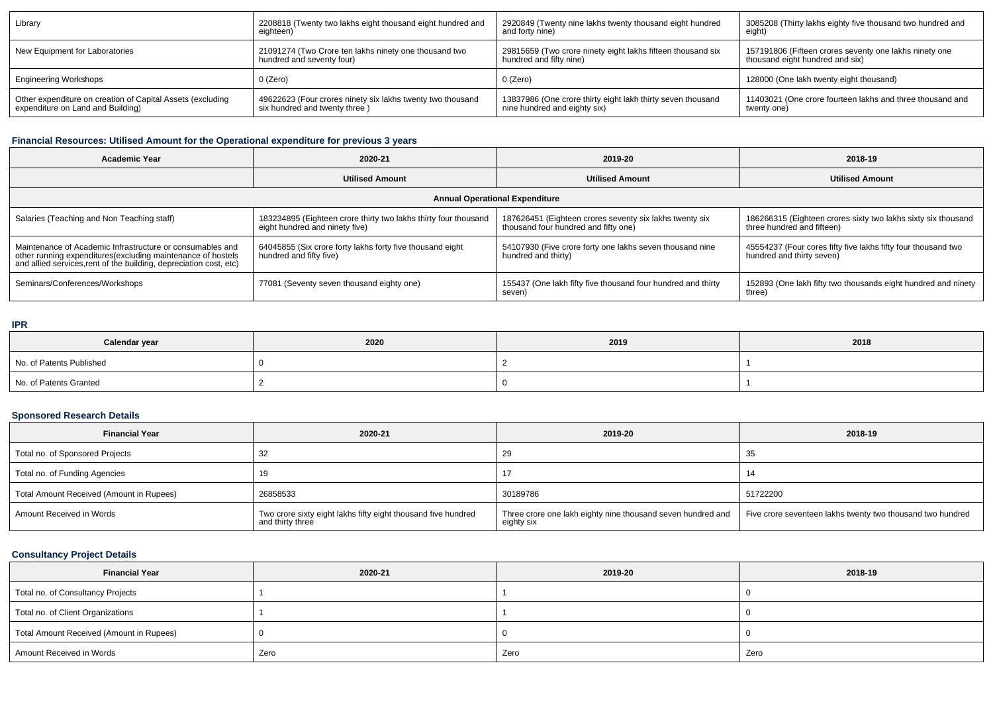| Library                                                    | 2208818 (Twenty two lakhs eight thousand eight hundred and | 2920849 (Twenty nine lakhs twenty thousand eight hundred    | 3085208 (Thirty lakhs eighty five thousand two hundred and |
|------------------------------------------------------------|------------------------------------------------------------|-------------------------------------------------------------|------------------------------------------------------------|
|                                                            | eighteen)                                                  | and forty nine)                                             | eight)                                                     |
| New Equipment for Laboratories                             | 21091274 (Two Crore ten lakhs ninety one thousand two      | 29815659 (Two crore ninety eight lakhs fifteen thousand six | 157191806 (Fifteen crores seventy one lakhs ninety one     |
|                                                            | hundred and seventy four)                                  | hundred and fifty nine)                                     | thousand eight hundred and six)                            |
| <b>Engineering Workshops</b>                               | 0 (Zero)                                                   | 0 (Zero)                                                    | 128000 (One lakh twenty eight thousand)                    |
| Other expenditure on creation of Capital Assets (excluding | 49622623 (Four crores ninety six lakhs twenty two thousand | 13837986 (One crore thirty eight lakh thirty seven thousand | 11403021 (One crore fourteen lakhs and three thousand and  |
| expenditure on Land and Building)                          | six hundred and twenty three)                              | nine hundred and eighty six)                                | twenty one)                                                |

# **Financial Resources: Utilised Amount for the Operational expenditure for previous 3 years**

| <b>Academic Year</b>                                                                                                                                                                           | 2020-21                                                                                           | 2019-20                                                                                         | 2018-19                                                                                     |  |  |  |  |  |
|------------------------------------------------------------------------------------------------------------------------------------------------------------------------------------------------|---------------------------------------------------------------------------------------------------|-------------------------------------------------------------------------------------------------|---------------------------------------------------------------------------------------------|--|--|--|--|--|
|                                                                                                                                                                                                | <b>Utilised Amount</b>                                                                            | <b>Utilised Amount</b>                                                                          | <b>Utilised Amount</b>                                                                      |  |  |  |  |  |
| <b>Annual Operational Expenditure</b>                                                                                                                                                          |                                                                                                   |                                                                                                 |                                                                                             |  |  |  |  |  |
| Salaries (Teaching and Non Teaching staff)                                                                                                                                                     | 183234895 (Eighteen crore thirty two lakhs thirty four thousand<br>eight hundred and ninety five) | 187626451 (Eighteen crores seventy six lakhs twenty six<br>thousand four hundred and fifty one) | 186266315 (Eighteen crores sixty two lakhs sixty six thousand<br>three hundred and fifteen) |  |  |  |  |  |
| Maintenance of Academic Infrastructure or consumables and<br>other running expenditures(excluding maintenance of hostels<br>and allied services, rent of the building, depreciation cost, etc) | 64045855 (Six crore forty lakhs forty five thousand eight<br>hundred and fifty five)              | 54107930 (Five crore forty one lakhs seven thousand nine<br>hundred and thirty)                 | 45554237 (Four cores fifty five lakhs fifty four thousand two<br>hundred and thirty seven)  |  |  |  |  |  |
| Seminars/Conferences/Workshops                                                                                                                                                                 | 77081 (Seventy seven thousand eighty one)                                                         | 155437 (One lakh fifty five thousand four hundred and thirty<br>seven)                          | 152893 (One lakh fifty two thousands eight hundred and ninety<br>three)                     |  |  |  |  |  |

### **IPR**

| Calendar year            | 2020 | 2019 | 2018 |
|--------------------------|------|------|------|
| No. of Patents Published |      |      |      |
| No. of Patents Granted   |      |      |      |

# **Sponsored Research Details**

| <b>Financial Year</b>                    | 2020-21                                                                           | 2019-20                                                                   | 2018-19                                                    |
|------------------------------------------|-----------------------------------------------------------------------------------|---------------------------------------------------------------------------|------------------------------------------------------------|
| Total no. of Sponsored Projects          | 32                                                                                | 29                                                                        | 35                                                         |
| Total no. of Funding Agencies            | 19                                                                                |                                                                           |                                                            |
| Total Amount Received (Amount in Rupees) | 26858533                                                                          | 30189786                                                                  | 51722200                                                   |
| Amount Received in Words                 | Two crore sixty eight lakhs fifty eight thousand five hundred<br>and thirty three | Three crore one lakh eighty nine thousand seven hundred and<br>eighty six | Five crore seventeen lakhs twenty two thousand two hundred |

# **Consultancy Project Details**

| <b>Financial Year</b>                    | 2020-21 | 2019-20 | 2018-19 |
|------------------------------------------|---------|---------|---------|
| Total no. of Consultancy Projects        |         |         |         |
| Total no. of Client Organizations        |         |         |         |
| Total Amount Received (Amount in Rupees) |         |         |         |
| Amount Received in Words                 | Zero    | Zero    | Zero    |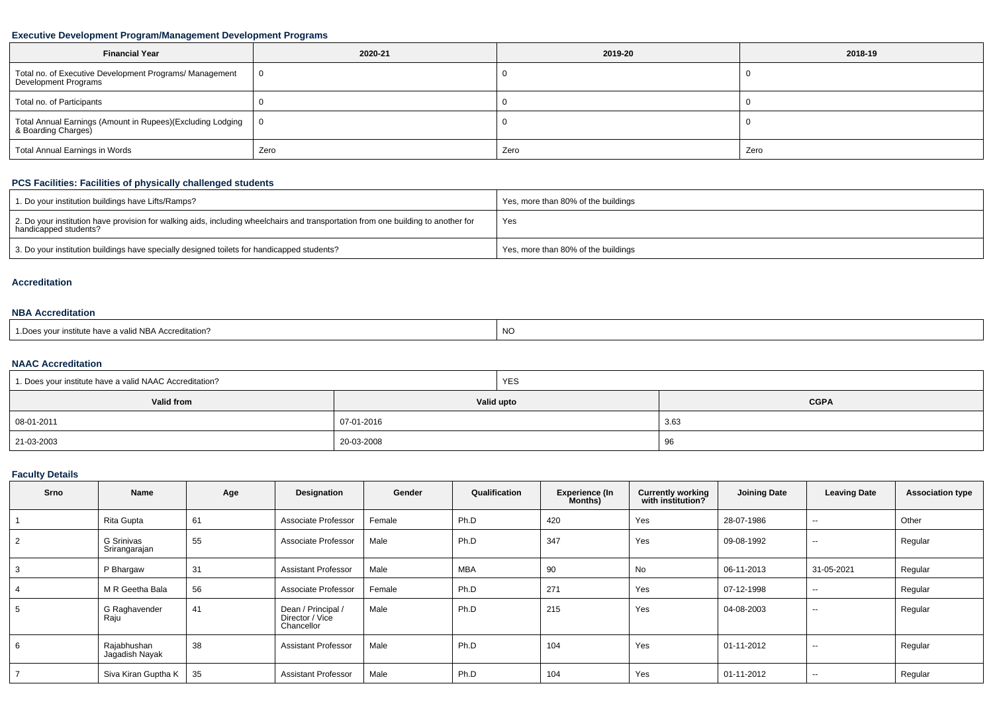# **Executive Development Program/Management Development Programs**

| <b>Financial Year</b>                                                           | 2020-21 | 2019-20 | 2018-19 |
|---------------------------------------------------------------------------------|---------|---------|---------|
| Total no. of Executive Development Programs/ Management<br>Development Programs |         |         |         |
| Total no. of Participants                                                       |         |         |         |
| Total Annual Earnings (Amount in Rupees)(Excluding Lodging                      |         |         |         |
| Total Annual Earnings in Words                                                  | Zero    | Zero    | Zero    |

# **PCS Facilities: Facilities of physically challenged students**

| 1. Do your institution buildings have Lifts/Ramps?                                                                                                         | Yes, more than 80% of the buildings |
|------------------------------------------------------------------------------------------------------------------------------------------------------------|-------------------------------------|
| 2. Do your institution have provision for walking aids, including wheelchairs and transportation from one building to another for<br>handicapped students? | Yes                                 |
| 3. Do your institution buildings have specially designed toilets for handicapped students?                                                                 | Yes, more than 80% of the buildings |

#### **Accreditation**

### **NBA Accreditation**

| s vour institute have a valid NBA Accreditation?<br>1.Does | <b>NC</b> |
|------------------------------------------------------------|-----------|
|------------------------------------------------------------|-----------|

## **NAAC Accreditation**

| 1. Does your institute have a valid NAAC Accreditation? | <b>YES</b> |             |  |  |  |  |
|---------------------------------------------------------|------------|-------------|--|--|--|--|
| Valid from                                              | Valid upto | <b>CGPA</b> |  |  |  |  |
| $  08 - 01 - 2011$                                      | 07-01-2016 | 3.63        |  |  |  |  |
| 21-03-2003                                              | 20-03-2008 | 96          |  |  |  |  |

# **Faculty Details**

| <b>Srno</b>   | Name                          | Age | Designation                                         | Gender | Qualification | <b>Experience (In</b><br>Months) | <b>Currently working</b><br>with institution? | <b>Joining Date</b> | <b>Leaving Date</b>      | <b>Association type</b> |
|---------------|-------------------------------|-----|-----------------------------------------------------|--------|---------------|----------------------------------|-----------------------------------------------|---------------------|--------------------------|-------------------------|
|               | Rita Gupta                    | 61  | Associate Professor                                 | Female | Ph.D          | 420                              | Yes                                           | 28-07-1986          | $\sim$ $\sim$            | Other                   |
| $\mathcal{P}$ | G Srinivas<br>Srirangarajan   | 55  | Associate Professor                                 | Male   | Ph.D          | 347                              | Yes                                           | 09-08-1992          | $- -$                    | Regular                 |
|               | P Bhargaw                     | 31  | <b>Assistant Professor</b>                          | Male   | <b>MBA</b>    | 90                               | No                                            | 06-11-2013          | 31-05-2021               | Regular                 |
|               | M R Geetha Bala               | 56  | Associate Professor                                 | Female | Ph.D          | 271                              | Yes                                           | 07-12-1998          | $\overline{\phantom{a}}$ | Regular                 |
| 5             | G Raghavender<br>Raju         | 41  | Dean / Principal /<br>Director / Vice<br>Chancellor | Male   | Ph.D          | 215                              | Yes                                           | 04-08-2003          | $\sim$ $\sim$            | Regular                 |
| 6             | Rajabhushan<br>Jagadish Nayak | 38  | <b>Assistant Professor</b>                          | Male   | Ph.D          | 104                              | Yes                                           | 01-11-2012          | $\sim$ $\sim$            | Regular                 |
|               | Siva Kiran Guptha K           | 35  | <b>Assistant Professor</b>                          | Male   | Ph.D          | 104                              | Yes                                           | 01-11-2012          | $\overline{\phantom{a}}$ | Regular                 |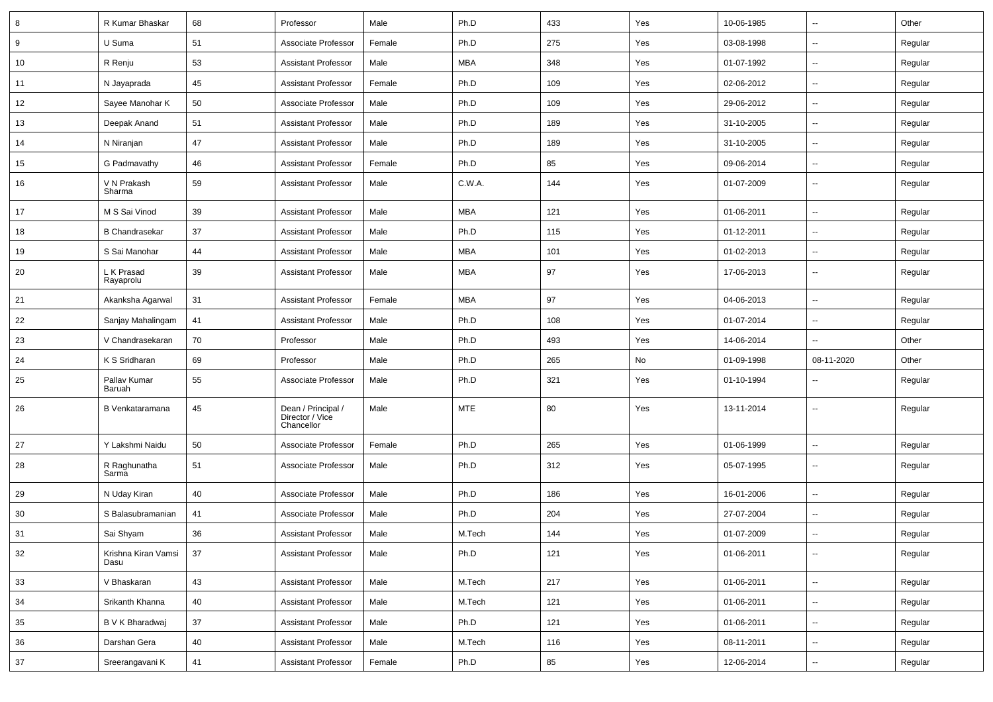| 8      | R Kumar Bhaskar             | 68 | Professor                                           | Male   | Ph.D       | 433 | Yes | 10-06-1985 | ⊶.                       | Other   |
|--------|-----------------------------|----|-----------------------------------------------------|--------|------------|-----|-----|------------|--------------------------|---------|
| 9      | U Suma                      | 51 | Associate Professor                                 | Female | Ph.D       | 275 | Yes | 03-08-1998 | --                       | Regular |
| 10     | R Renju                     | 53 | <b>Assistant Professor</b>                          | Male   | <b>MBA</b> | 348 | Yes | 01-07-1992 | -−                       | Regular |
| 11     | N Jayaprada                 | 45 | <b>Assistant Professor</b>                          | Female | Ph.D       | 109 | Yes | 02-06-2012 | --                       | Regular |
| 12     | Sayee Manohar K             | 50 | Associate Professor                                 | Male   | Ph.D       | 109 | Yes | 29-06-2012 | --                       | Regular |
| 13     | Deepak Anand                | 51 | <b>Assistant Professor</b>                          | Male   | Ph.D       | 189 | Yes | 31-10-2005 | $\sim$                   | Regular |
| 14     | N Niranjan                  | 47 | <b>Assistant Professor</b>                          | Male   | Ph.D       | 189 | Yes | 31-10-2005 | ⊶.                       | Regular |
| 15     | G Padmavathy                | 46 | <b>Assistant Professor</b>                          | Female | Ph.D       | 85  | Yes | 09-06-2014 | $\overline{\phantom{a}}$ | Regular |
| 16     | V N Prakash<br>Sharma       | 59 | <b>Assistant Professor</b>                          | Male   | C.W.A.     | 144 | Yes | 01-07-2009 | $\overline{\phantom{a}}$ | Regular |
| 17     | M S Sai Vinod               | 39 | <b>Assistant Professor</b>                          | Male   | <b>MBA</b> | 121 | Yes | 01-06-2011 | $\sim$                   | Regular |
| 18     | <b>B</b> Chandrasekar       | 37 | <b>Assistant Professor</b>                          | Male   | Ph.D       | 115 | Yes | 01-12-2011 | $\overline{\phantom{a}}$ | Regular |
| 19     | S Sai Manohar               | 44 | <b>Assistant Professor</b>                          | Male   | <b>MBA</b> | 101 | Yes | 01-02-2013 | --                       | Regular |
| 20     | L K Prasad<br>Rayaprolu     | 39 | <b>Assistant Professor</b>                          | Male   | MBA        | 97  | Yes | 17-06-2013 | $\overline{\phantom{a}}$ | Regular |
| 21     | Akanksha Agarwal            | 31 | <b>Assistant Professor</b>                          | Female | <b>MBA</b> | 97  | Yes | 04-06-2013 | $\sim$                   | Regular |
| 22     | Sanjay Mahalingam           | 41 | <b>Assistant Professor</b>                          | Male   | Ph.D       | 108 | Yes | 01-07-2014 | ⊶.                       | Regular |
| 23     | V Chandrasekaran            | 70 | Professor                                           | Male   | Ph.D       | 493 | Yes | 14-06-2014 | -−                       | Other   |
| 24     | K S Sridharan               | 69 | Professor                                           | Male   | Ph.D       | 265 | No  | 01-09-1998 | 08-11-2020               | Other   |
| 25     | Pallav Kumar<br>Baruah      | 55 | Associate Professor                                 | Male   | Ph.D       | 321 | Yes | 01-10-1994 | --                       | Regular |
| 26     | B Venkataramana             | 45 | Dean / Principal /<br>Director / Vice<br>Chancellor | Male   | <b>MTE</b> | 80  | Yes | 13-11-2014 | --                       | Regular |
| 27     | Y Lakshmi Naidu             | 50 | Associate Professor                                 | Female | Ph.D       | 265 | Yes | 01-06-1999 | $\overline{\phantom{a}}$ | Regular |
| 28     | R Raghunatha<br>Sarma       | 51 | Associate Professor                                 | Male   | Ph.D       | 312 | Yes | 05-07-1995 | $\overline{\phantom{a}}$ | Regular |
| 29     | N Uday Kiran                | 40 | Associate Professor                                 | Male   | Ph.D       | 186 | Yes | 16-01-2006 | --                       | Regular |
| 30     | S Balasubramanian           | 41 | Associate Professor                                 | Male   | Ph.D       | 204 | Yes | 27-07-2004 | --                       | Regular |
| 31     | Sai Shyam                   | 36 | <b>Assistant Professor</b>                          | Male   | M.Tech     | 144 | Yes | 01-07-2009 | $\overline{\phantom{a}}$ | Regular |
| 32     | Krishna Kiran Vamsi<br>Dasu | 37 | <b>Assistant Professor</b>                          | Male   | Ph.D       | 121 | Yes | 01-06-2011 | $\sim$                   | Regular |
| 33     | V Bhaskaran                 | 43 | <b>Assistant Professor</b>                          | Male   | M.Tech     | 217 | Yes | 01-06-2011 | Щ,                       | Regular |
| 34     | Srikanth Khanna             | 40 | Assistant Professor                                 | Male   | M.Tech     | 121 | Yes | 01-06-2011 | ⊶.                       | Regular |
| 35     | B V K Bharadwaj             | 37 | <b>Assistant Professor</b>                          | Male   | Ph.D       | 121 | Yes | 01-06-2011 | $\overline{\phantom{a}}$ | Regular |
| 36     | Darshan Gera                | 40 | <b>Assistant Professor</b>                          | Male   | M.Tech     | 116 | Yes | 08-11-2011 | ⊶.                       | Regular |
| $37\,$ | Sreerangavani K             | 41 | <b>Assistant Professor</b>                          | Female | Ph.D       | 85  | Yes | 12-06-2014 | --                       | Regular |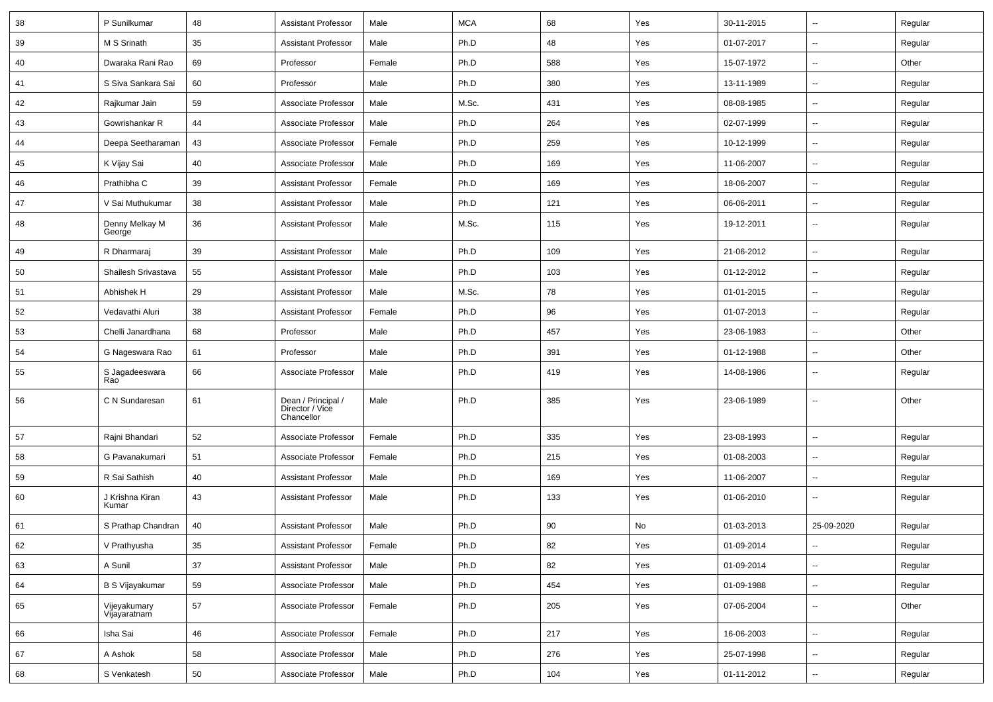| 38 | P Sunilkumar                 | 48          | <b>Assistant Professor</b>                          | Male   | <b>MCA</b> | 68  | Yes | 30-11-2015 | $\overline{\phantom{a}}$ | Regular |
|----|------------------------------|-------------|-----------------------------------------------------|--------|------------|-----|-----|------------|--------------------------|---------|
| 39 | M S Srinath                  | 35          | <b>Assistant Professor</b>                          | Male   | Ph.D       | 48  | Yes | 01-07-2017 | $\overline{\phantom{a}}$ | Regular |
| 40 | Dwaraka Rani Rao             | 69          | Professor                                           | Female | Ph.D       | 588 | Yes | 15-07-1972 | --                       | Other   |
| 41 | S Siva Sankara Sai           | 60          | Professor                                           | Male   | Ph.D       | 380 | Yes | 13-11-1989 | -−                       | Regular |
| 42 | Rajkumar Jain                | 59          | Associate Professor                                 | Male   | M.Sc.      | 431 | Yes | 08-08-1985 | $\overline{\phantom{a}}$ | Regular |
| 43 | Gowrishankar R               | 44          | Associate Professor                                 | Male   | Ph.D       | 264 | Yes | 02-07-1999 | $\overline{\phantom{a}}$ | Regular |
| 44 | Deepa Seetharaman            | 43          | Associate Professor                                 | Female | Ph.D       | 259 | Yes | 10-12-1999 | $\sim$                   | Regular |
| 45 | K Vijay Sai                  | 40          | Associate Professor                                 | Male   | Ph.D       | 169 | Yes | 11-06-2007 | ⊷.                       | Regular |
| 46 | Prathibha C                  | 39          | <b>Assistant Professor</b>                          | Female | Ph.D       | 169 | Yes | 18-06-2007 | -−                       | Regular |
| 47 | V Sai Muthukumar             | 38          | <b>Assistant Professor</b>                          | Male   | Ph.D       | 121 | Yes | 06-06-2011 | -−                       | Regular |
| 48 | Denny Melkay M<br>George     | 36          | <b>Assistant Professor</b>                          | Male   | M.Sc.      | 115 | Yes | 19-12-2011 | -−                       | Regular |
| 49 | R Dharmaraj                  | 39          | <b>Assistant Professor</b>                          | Male   | Ph.D       | 109 | Yes | 21-06-2012 | $\overline{\phantom{a}}$ | Regular |
| 50 | Shailesh Srivastava          | 55          | <b>Assistant Professor</b>                          | Male   | Ph.D       | 103 | Yes | 01-12-2012 | $\overline{a}$           | Regular |
| 51 | Abhishek H                   | 29          | <b>Assistant Professor</b>                          | Male   | M.Sc.      | 78  | Yes | 01-01-2015 | $\overline{\phantom{a}}$ | Regular |
| 52 | Vedavathi Aluri              | 38          | <b>Assistant Professor</b>                          | Female | Ph.D       | 96  | Yes | 01-07-2013 | ⊶.                       | Regular |
| 53 | Chelli Janardhana            | 68          | Professor                                           | Male   | Ph.D       | 457 | Yes | 23-06-1983 | -−                       | Other   |
| 54 | G Nageswara Rao              | 61          | Professor                                           | Male   | Ph.D       | 391 | Yes | 01-12-1988 | ⊷.                       | Other   |
| 55 | S Jagadeeswara<br>Rao        | 66          | Associate Professor                                 | Male   | Ph.D       | 419 | Yes | 14-08-1986 | $\overline{\phantom{a}}$ | Regular |
| 56 | C N Sundaresan               | 61          | Dean / Principal /<br>Director / Vice<br>Chancellor | Male   | Ph.D       | 385 | Yes | 23-06-1989 | --                       | Other   |
| 57 | Rajni Bhandari               | 52          | Associate Professor                                 | Female | Ph.D       | 335 | Yes | 23-08-1993 | $\overline{\phantom{a}}$ | Regular |
| 58 | G Pavanakumari               | 51          | Associate Professor                                 | Female | Ph.D       | 215 | Yes | 01-08-2003 | $\overline{\phantom{a}}$ | Regular |
| 59 | R Sai Sathish                | 40          | <b>Assistant Professor</b>                          | Male   | Ph.D       | 169 | Yes | 11-06-2007 | -−                       | Regular |
| 60 | J Krishna Kiran<br>Kumar     | 43          | <b>Assistant Professor</b>                          | Male   | Ph.D       | 133 | Yes | 01-06-2010 | ⊷.                       | Regular |
| 61 | S Prathap Chandran           | 40          | <b>Assistant Professor</b>                          | Male   | Ph.D       | 90  | No  | 01-03-2013 | 25-09-2020               | Regular |
| 62 | V Prathyusha                 | 35          | <b>Assistant Professor</b>                          | Female | Ph.D       | 82  | Yes | 01-09-2014 | $\sim$                   | Regular |
| 63 | A Sunil                      | 37          | <b>Assistant Professor</b>                          | Male   | Ph.D       | 82  | Yes | 01-09-2014 | $\overline{\phantom{a}}$ | Regular |
| 64 | <b>B S Vijayakumar</b>       | 59          | Associate Professor                                 | Male   | Ph.D       | 454 | Yes | 01-09-1988 | $\overline{\phantom{a}}$ | Regular |
| 65 | Vijeyakumary<br>Vijayaratnam | 57          | Associate Professor                                 | Female | Ph.D       | 205 | Yes | 07-06-2004 | $\overline{\phantom{a}}$ | Other   |
| 66 | Isha Sai                     | $\sqrt{46}$ | Associate Professor                                 | Female | Ph.D       | 217 | Yes | 16-06-2003 | Щ,                       | Regular |
| 67 | A Ashok                      | 58          | Associate Professor                                 | Male   | Ph.D       | 276 | Yes | 25-07-1998 | щ.                       | Regular |
| 68 | S Venkatesh                  | 50          | Associate Professor                                 | Male   | Ph.D       | 104 | Yes | 01-11-2012 | $\overline{\phantom{a}}$ | Regular |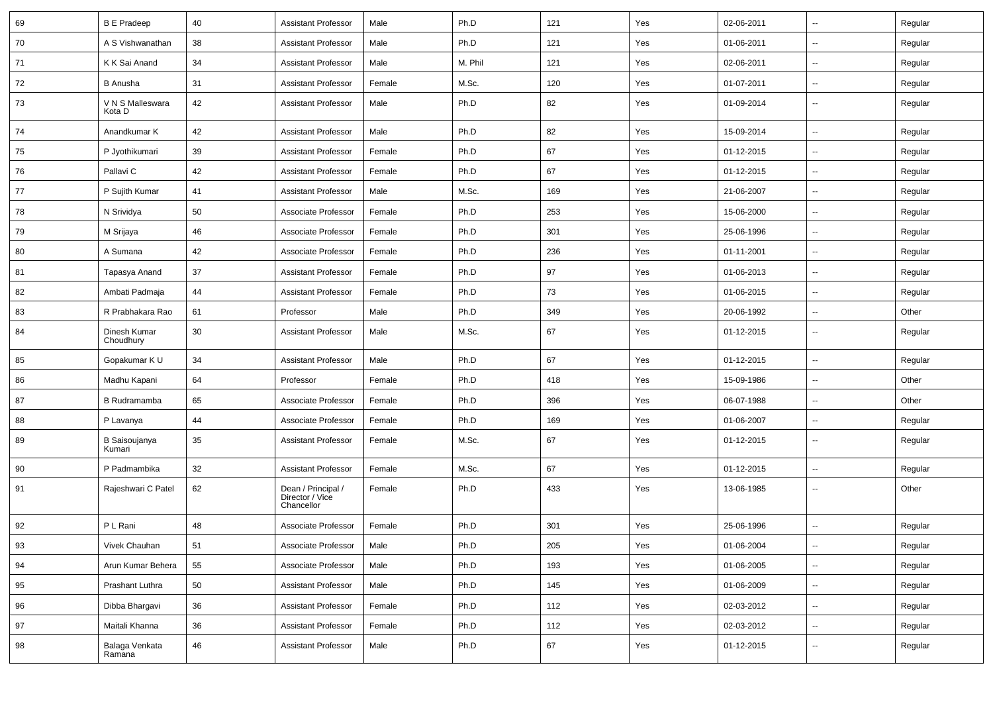| 69 | <b>B E Pradeep</b>         | 40 | <b>Assistant Professor</b>                          | Male   | Ph.D    | 121 | Yes | 02-06-2011 | $\overline{\phantom{a}}$ | Regular |
|----|----------------------------|----|-----------------------------------------------------|--------|---------|-----|-----|------------|--------------------------|---------|
| 70 | A S Vishwanathan           | 38 | <b>Assistant Professor</b>                          | Male   | Ph.D    | 121 | Yes | 01-06-2011 | $\overline{\phantom{a}}$ | Regular |
| 71 | K K Sai Anand              | 34 | <b>Assistant Professor</b>                          | Male   | M. Phil | 121 | Yes | 02-06-2011 | $\overline{\phantom{a}}$ | Regular |
| 72 | <b>B</b> Anusha            | 31 | <b>Assistant Professor</b>                          | Female | M.Sc.   | 120 | Yes | 01-07-2011 | $\overline{\phantom{a}}$ | Regular |
| 73 | V N S Malleswara<br>Kota D | 42 | <b>Assistant Professor</b>                          | Male   | Ph.D    | 82  | Yes | 01-09-2014 | $\overline{\phantom{a}}$ | Regular |
| 74 | Anandkumar K               | 42 | <b>Assistant Professor</b>                          | Male   | Ph.D    | 82  | Yes | 15-09-2014 | Щ,                       | Regular |
| 75 | P Jyothikumari             | 39 | <b>Assistant Professor</b>                          | Female | Ph.D    | 67  | Yes | 01-12-2015 | $\overline{\phantom{a}}$ | Regular |
| 76 | Pallavi C                  | 42 | <b>Assistant Professor</b>                          | Female | Ph.D    | 67  | Yes | 01-12-2015 | Щ,                       | Regular |
| 77 | P Sujith Kumar             | 41 | <b>Assistant Professor</b>                          | Male   | M.Sc.   | 169 | Yes | 21-06-2007 | --                       | Regular |
| 78 | N Srividya                 | 50 | Associate Professor                                 | Female | Ph.D    | 253 | Yes | 15-06-2000 | $\overline{\phantom{a}}$ | Regular |
| 79 | M Srijaya                  | 46 | Associate Professor                                 | Female | Ph.D    | 301 | Yes | 25-06-1996 | $\overline{\phantom{a}}$ | Regular |
| 80 | A Sumana                   | 42 | Associate Professor                                 | Female | Ph.D    | 236 | Yes | 01-11-2001 | Щ,                       | Regular |
| 81 | Tapasya Anand              | 37 | <b>Assistant Professor</b>                          | Female | Ph.D    | 97  | Yes | 01-06-2013 | Щ,                       | Regular |
| 82 | Ambati Padmaja             | 44 | <b>Assistant Professor</b>                          | Female | Ph.D    | 73  | Yes | 01-06-2015 | $\overline{\phantom{a}}$ | Regular |
| 83 | R Prabhakara Rao           | 61 | Professor                                           | Male   | Ph.D    | 349 | Yes | 20-06-1992 | $\overline{\phantom{a}}$ | Other   |
| 84 | Dinesh Kumar<br>Choudhury  | 30 | <b>Assistant Professor</b>                          | Male   | M.Sc.   | 67  | Yes | 01-12-2015 | $\overline{\phantom{a}}$ | Regular |
| 85 | Gopakumar K U              | 34 | <b>Assistant Professor</b>                          | Male   | Ph.D    | 67  | Yes | 01-12-2015 | Ξ.                       | Regular |
| 86 | Madhu Kapani               | 64 | Professor                                           | Female | Ph.D    | 418 | Yes | 15-09-1986 | $\overline{\phantom{a}}$ | Other   |
| 87 | <b>B</b> Rudramamba        | 65 | Associate Professor                                 | Female | Ph.D    | 396 | Yes | 06-07-1988 | $\overline{\phantom{a}}$ | Other   |
| 88 | P Lavanya                  | 44 | Associate Professor                                 | Female | Ph.D    | 169 | Yes | 01-06-2007 | $\overline{\phantom{a}}$ | Regular |
| 89 | B Saisoujanya<br>Kumari    | 35 | <b>Assistant Professor</b>                          | Female | M.Sc.   | 67  | Yes | 01-12-2015 | $\overline{\phantom{a}}$ | Regular |
| 90 | P Padmambika               | 32 | <b>Assistant Professor</b>                          | Female | M.Sc.   | 67  | Yes | 01-12-2015 | Щ,                       | Regular |
| 91 | Rajeshwari C Patel         | 62 | Dean / Principal /<br>Director / Vice<br>Chancellor | Female | Ph.D    | 433 | Yes | 13-06-1985 | --                       | Other   |
| 92 | P L Rani                   | 48 | Associate Professor                                 | Female | Ph.D    | 301 | Yes | 25-06-1996 | Щ,                       | Regular |
| 93 | Vivek Chauhan              | 51 | Associate Professor                                 | Male   | Ph.D    | 205 | Yes | 01-06-2004 | $\overline{\phantom{a}}$ | Regular |
| 94 | Arun Kumar Behera          | 55 | Associate Professor                                 | Male   | Ph.D    | 193 | Yes | 01-06-2005 | Ц.                       | Regular |
| 95 | Prashant Luthra            | 50 | <b>Assistant Professor</b>                          | Male   | Ph.D    | 145 | Yes | 01-06-2009 | Щ,                       | Regular |
| 96 | Dibba Bhargavi             | 36 | <b>Assistant Professor</b>                          | Female | Ph.D    | 112 | Yes | 02-03-2012 | Ξ.                       | Regular |
| 97 | Maitali Khanna             | 36 | Assistant Professor                                 | Female | Ph.D    | 112 | Yes | 02-03-2012 | Щ,                       | Regular |
| 98 | Balaga Venkata<br>Ramana   | 46 | <b>Assistant Professor</b>                          | Male   | Ph.D    | 67  | Yes | 01-12-2015 | ۰.                       | Regular |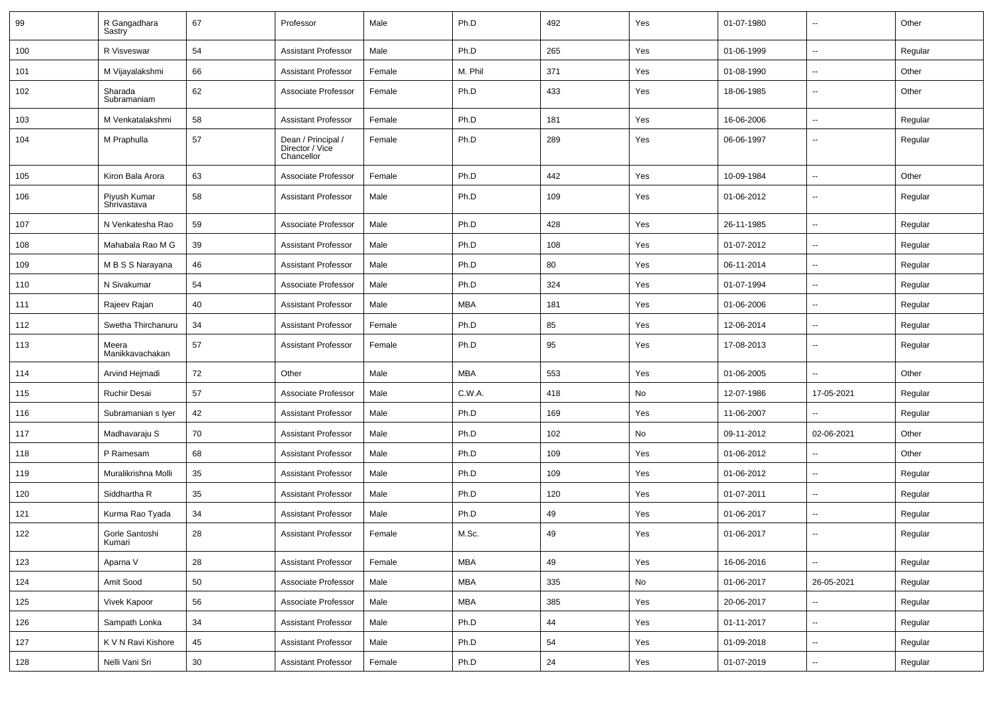| 99  | R Gangadhara<br>Sastry      | 67     | Professor                                           | Male   | Ph.D       | 492 | Yes | 01-07-1980 | $\sim$                   | Other   |
|-----|-----------------------------|--------|-----------------------------------------------------|--------|------------|-----|-----|------------|--------------------------|---------|
| 100 | R Visveswar                 | 54     | <b>Assistant Professor</b>                          | Male   | Ph.D       | 265 | Yes | 01-06-1999 | $\sim$                   | Regular |
| 101 | M Vijayalakshmi             | 66     | <b>Assistant Professor</b>                          | Female | M. Phil    | 371 | Yes | 01-08-1990 | --                       | Other   |
| 102 | Sharada<br>Subramaniam      | 62     | Associate Professor                                 | Female | Ph.D       | 433 | Yes | 18-06-1985 | $\overline{\phantom{a}}$ | Other   |
| 103 | M Venkatalakshmi            | 58     | <b>Assistant Professor</b>                          | Female | Ph.D       | 181 | Yes | 16-06-2006 | $\overline{\phantom{a}}$ | Regular |
| 104 | M Praphulla                 | 57     | Dean / Principal /<br>Director / Vice<br>Chancellor | Female | Ph.D       | 289 | Yes | 06-06-1997 | $\overline{\phantom{a}}$ | Regular |
| 105 | Kiron Bala Arora            | 63     | Associate Professor                                 | Female | Ph.D       | 442 | Yes | 10-09-1984 | --                       | Other   |
| 106 | Piyush Kumar<br>Shrivastava | 58     | <b>Assistant Professor</b>                          | Male   | Ph.D       | 109 | Yes | 01-06-2012 | $\overline{\phantom{a}}$ | Regular |
| 107 | N Venkatesha Rao            | 59     | Associate Professor                                 | Male   | Ph.D       | 428 | Yes | 26-11-1985 | $\overline{\phantom{a}}$ | Regular |
| 108 | Mahabala Rao M G            | 39     | <b>Assistant Professor</b>                          | Male   | Ph.D       | 108 | Yes | 01-07-2012 | $\sim$                   | Regular |
| 109 | M B S S Narayana            | 46     | <b>Assistant Professor</b>                          | Male   | Ph.D       | 80  | Yes | 06-11-2014 | $\sim$                   | Regular |
| 110 | N Sivakumar                 | 54     | Associate Professor                                 | Male   | Ph.D       | 324 | Yes | 01-07-1994 | $\sim$                   | Regular |
| 111 | Rajeev Rajan                | 40     | <b>Assistant Professor</b>                          | Male   | <b>MBA</b> | 181 | Yes | 01-06-2006 | $\overline{\phantom{a}}$ | Regular |
| 112 | Swetha Thirchanuru          | 34     | <b>Assistant Professor</b>                          | Female | Ph.D       | 85  | Yes | 12-06-2014 | $\overline{\phantom{a}}$ | Regular |
| 113 | Meera<br>Manikkavachakan    | 57     | <b>Assistant Professor</b>                          | Female | Ph.D       | 95  | Yes | 17-08-2013 | $\overline{\phantom{a}}$ | Regular |
| 114 | Arvind Hejmadi              | 72     | Other                                               | Male   | <b>MBA</b> | 553 | Yes | 01-06-2005 | $\sim$                   | Other   |
| 115 | Ruchir Desai                | 57     | Associate Professor                                 | Male   | C.W.A.     | 418 | No  | 12-07-1986 | 17-05-2021               | Regular |
| 116 | Subramanian s Iyer          | 42     | <b>Assistant Professor</b>                          | Male   | Ph.D       | 169 | Yes | 11-06-2007 |                          | Regular |
| 117 | Madhavaraju S               | 70     | <b>Assistant Professor</b>                          | Male   | Ph.D       | 102 | No  | 09-11-2012 | 02-06-2021               | Other   |
| 118 | P Ramesam                   | 68     | <b>Assistant Professor</b>                          | Male   | Ph.D       | 109 | Yes | 01-06-2012 | $\sim$                   | Other   |
| 119 | Muralikrishna Molli         | 35     | <b>Assistant Professor</b>                          | Male   | Ph.D       | 109 | Yes | 01-06-2012 | $\overline{\phantom{a}}$ | Regular |
| 120 | Siddhartha R                | 35     | <b>Assistant Professor</b>                          | Male   | Ph.D       | 120 | Yes | 01-07-2011 | $\sim$                   | Regular |
| 121 | Kurma Rao Tyada             | 34     | <b>Assistant Professor</b>                          | Male   | Ph.D       | 49  | Yes | 01-06-2017 | $\overline{\phantom{a}}$ | Regular |
| 122 | Gorle Santoshi<br>Kumari    | 28     | <b>Assistant Professor</b>                          | Female | M.Sc.      | 49  | Yes | 01-06-2017 | $\sim$                   | Regular |
| 123 | Aparna V                    | 28     | Assistant Professor                                 | Female | <b>MBA</b> | 49  | Yes | 16-06-2016 | $\sim$                   | Regular |
| 124 | Amit Sood                   | 50     | Associate Professor                                 | Male   | <b>MBA</b> | 335 | No  | 01-06-2017 | 26-05-2021               | Regular |
| 125 | Vivek Kapoor                | 56     | Associate Professor                                 | Male   | <b>MBA</b> | 385 | Yes | 20-06-2017 | $\sim$                   | Regular |
| 126 | Sampath Lonka               | 34     | <b>Assistant Professor</b>                          | Male   | Ph.D       | 44  | Yes | 01-11-2017 | $\sim$                   | Regular |
| 127 | K V N Ravi Kishore          | 45     | <b>Assistant Professor</b>                          | Male   | Ph.D       | 54  | Yes | 01-09-2018 | $\sim$                   | Regular |
| 128 | Nelli Vani Sri              | $30\,$ | <b>Assistant Professor</b>                          | Female | Ph.D       | 24  | Yes | 01-07-2019 | $\overline{\phantom{a}}$ | Regular |